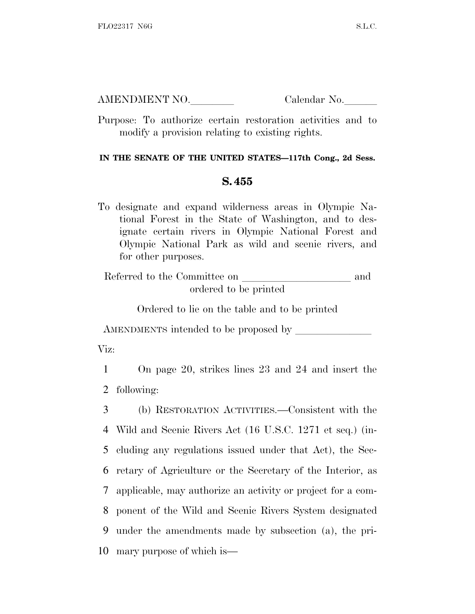AMENDMENT NO. Calendar No.

Purpose: To authorize certain restoration activities and to modify a provision relating to existing rights.

## **IN THE SENATE OF THE UNITED STATES—117th Cong., 2d Sess.**

## **S. 455**

To designate and expand wilderness areas in Olympic National Forest in the State of Washington, and to designate certain rivers in Olympic National Forest and Olympic National Park as wild and scenic rivers, and for other purposes.

Referred to the Committee on and ordered to be printed

Ordered to lie on the table and to be printed

AMENDMENTS intended to be proposed by

Viz:

1 On page 20, strikes lines 23 and 24 and insert the 2 following:

 (b) RESTORATION ACTIVITIES.—Consistent with the Wild and Scenic Rivers Act (16 U.S.C. 1271 et seq.) (in- cluding any regulations issued under that Act), the Sec- retary of Agriculture or the Secretary of the Interior, as applicable, may authorize an activity or project for a com- ponent of the Wild and Scenic Rivers System designated under the amendments made by subsection (a), the pri-mary purpose of which is